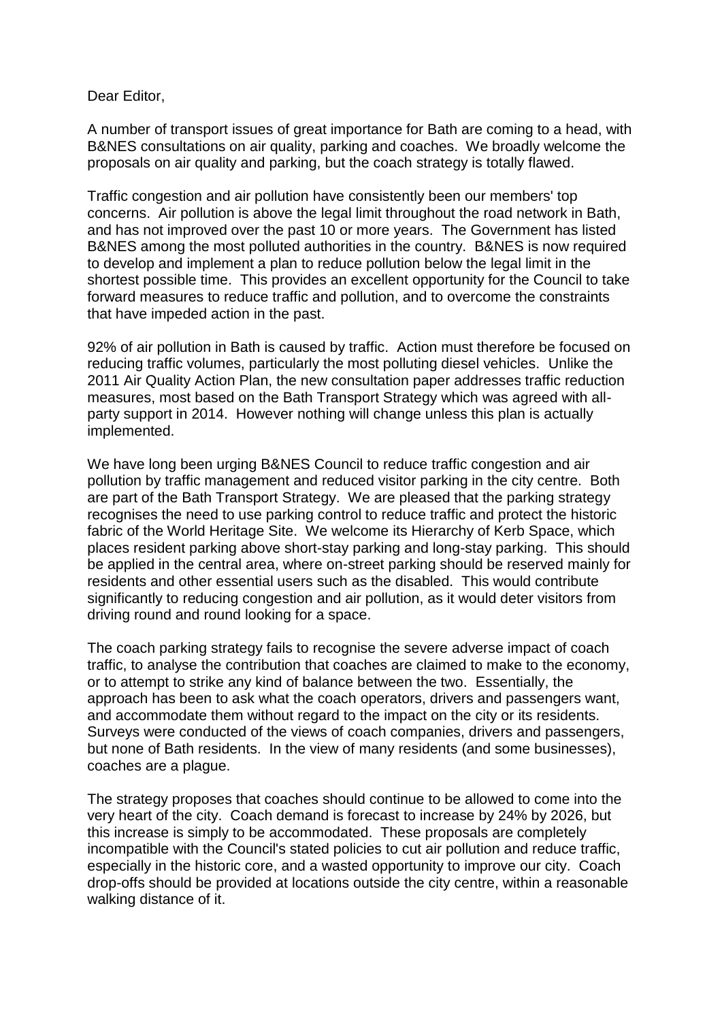Dear Editor,

A number of transport issues of great importance for Bath are coming to a head, with B&NES consultations on air quality, parking and coaches. We broadly welcome the proposals on air quality and parking, but the coach strategy is totally flawed.

Traffic congestion and air pollution have consistently been our members' top concerns. Air pollution is above the legal limit throughout the road network in Bath, and has not improved over the past 10 or more years. The Government has listed B&NES among the most polluted authorities in the country. B&NES is now required to develop and implement a plan to reduce pollution below the legal limit in the shortest possible time. This provides an excellent opportunity for the Council to take forward measures to reduce traffic and pollution, and to overcome the constraints that have impeded action in the past.

92% of air pollution in Bath is caused by traffic. Action must therefore be focused on reducing traffic volumes, particularly the most polluting diesel vehicles. Unlike the 2011 Air Quality Action Plan, the new consultation paper addresses traffic reduction measures, most based on the Bath Transport Strategy which was agreed with allparty support in 2014. However nothing will change unless this plan is actually implemented.

We have long been urging B&NES Council to reduce traffic congestion and air pollution by traffic management and reduced visitor parking in the city centre. Both are part of the Bath Transport Strategy. We are pleased that the parking strategy recognises the need to use parking control to reduce traffic and protect the historic fabric of the World Heritage Site. We welcome its Hierarchy of Kerb Space, which places resident parking above short-stay parking and long-stay parking. This should be applied in the central area, where on-street parking should be reserved mainly for residents and other essential users such as the disabled. This would contribute significantly to reducing congestion and air pollution, as it would deter visitors from driving round and round looking for a space.

The coach parking strategy fails to recognise the severe adverse impact of coach traffic, to analyse the contribution that coaches are claimed to make to the economy, or to attempt to strike any kind of balance between the two. Essentially, the approach has been to ask what the coach operators, drivers and passengers want, and accommodate them without regard to the impact on the city or its residents. Surveys were conducted of the views of coach companies, drivers and passengers, but none of Bath residents. In the view of many residents (and some businesses), coaches are a plague.

The strategy proposes that coaches should continue to be allowed to come into the very heart of the city. Coach demand is forecast to increase by 24% by 2026, but this increase is simply to be accommodated. These proposals are completely incompatible with the Council's stated policies to cut air pollution and reduce traffic, especially in the historic core, and a wasted opportunity to improve our city. Coach drop-offs should be provided at locations outside the city centre, within a reasonable walking distance of it.